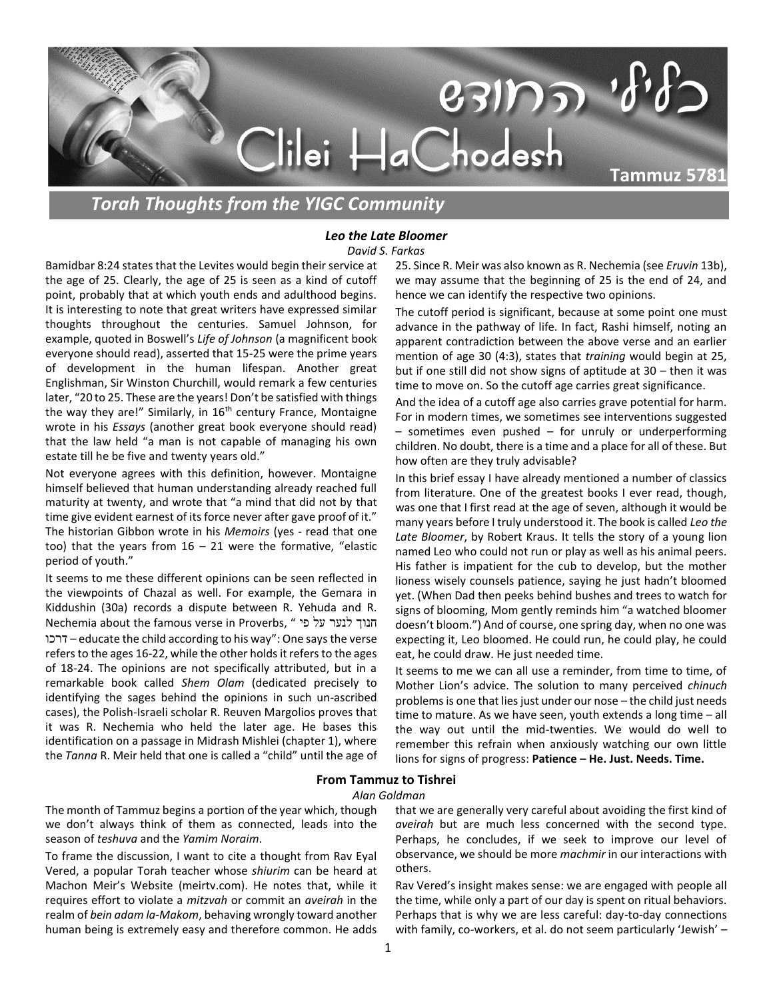

*Torah Thoughts from the YIGC Community*

## *Leo the Late Bloomer David S. Farkas*

Bamidbar 8:24 states that the Levites would begin their service at the age of 25. Clearly, the age of 25 is seen as a kind of cutoff point, probably that at which youth ends and adulthood begins. It is interesting to note that great writers have expressed similar thoughts throughout the centuries. Samuel Johnson, for example, quoted in Boswell's *Life of Johnson* (a magnificent book everyone should read), asserted that 15-25 were the prime years of development in the human lifespan. Another great Englishman, Sir Winston Churchill, would remark a few centuries later, "20 to 25. These are the years! Don't be satisfied with things the way they are!" Similarly, in  $16<sup>th</sup>$  century France, Montaigne wrote in his *Essays* (another great book everyone should read) that the law held "a man is not capable of managing his own estate till he be five and twenty years old."

Not everyone agrees with this definition, however. Montaigne himself believed that human understanding already reached full maturity at twenty, and wrote that "a mind that did not by that time give evident earnest of its force never after gave proof of it." The historian Gibbon wrote in his *Memoirs* (yes - read that one too) that the years from  $16 - 21$  were the formative, "elastic period of youth."

It seems to me these different opinions can be seen reflected in the viewpoints of Chazal as well. For example, the Gemara in Kiddushin (30a) records a dispute between R. Yehuda and R. Nechemia about the famous verse in Proverbs, " פי על לנער חנוך דרכו – educate the child according to his way": One says the verse refers to the ages 16-22, while the other holds it refers to the ages of 18-24. The opinions are not specifically attributed, but in a remarkable book called *Shem Olam* (dedicated precisely to identifying the sages behind the opinions in such un-ascribed cases), the Polish-Israeli scholar R. Reuven Margolios proves that it was R. Nechemia who held the later age. He bases this identification on a passage in Midrash Mishlei (chapter 1), where the *Tanna* R. Meir held that one is called a "child" until the age of 25. Since R. Meir was also known as R. Nechemia (see *Eruvin* 13b), we may assume that the beginning of 25 is the end of 24, and hence we can identify the respective two opinions.

The cutoff period is significant, because at some point one must advance in the pathway of life. In fact, Rashi himself, noting an apparent contradiction between the above verse and an earlier mention of age 30 (4:3), states that *training* would begin at 25, but if one still did not show signs of aptitude at 30 – then it was time to move on. So the cutoff age carries great significance.

And the idea of a cutoff age also carries grave potential for harm. For in modern times, we sometimes see interventions suggested – sometimes even pushed – for unruly or underperforming children. No doubt, there is a time and a place for all of these. But how often are they truly advisable?

In this brief essay I have already mentioned a number of classics from literature. One of the greatest books I ever read, though, was one that I first read at the age of seven, although it would be many years before I truly understood it. The book is called *Leo the Late Bloomer*, by Robert Kraus. It tells the story of a young lion named Leo who could not run or play as well as his animal peers. His father is impatient for the cub to develop, but the mother lioness wisely counsels patience, saying he just hadn't bloomed yet. (When Dad then peeks behind bushes and trees to watch for signs of blooming, Mom gently reminds him "a watched bloomer doesn't bloom.") And of course, one spring day, when no one was expecting it, Leo bloomed. He could run, he could play, he could eat, he could draw. He just needed time.

It seems to me we can all use a reminder, from time to time, of Mother Lion's advice. The solution to many perceived *chinuch* problems is one that lies just under our nose – the child just needs time to mature. As we have seen, youth extends a long time – all the way out until the mid-twenties. We would do well to remember this refrain when anxiously watching our own little lions for signs of progress: **Patience – He. Just. Needs. Time.**

## **From Tammuz to Tishrei**

## *Alan Goldman*

The month of Tammuz begins a portion of the year which, though we don't always think of them as connected, leads into the season of *teshuva* and the *Yamim Noraim*.

To frame the discussion, I want to cite a thought from Rav Eyal Vered, a popular Torah teacher whose *shiurim* can be heard at Machon Meir's Website (meirtv.com). He notes that, while it requires effort to violate a *mitzvah* or commit an *aveirah* in the realm of *bein adam la-Makom*, behaving wrongly toward another human being is extremely easy and therefore common. He adds

that we are generally very careful about avoiding the first kind of *aveirah* but are much less concerned with the second type. Perhaps, he concludes, if we seek to improve our level of observance, we should be more *machmir* in our interactions with others.

Rav Vered's insight makes sense: we are engaged with people all the time, while only a part of our day is spent on ritual behaviors. Perhaps that is why we are less careful: day-to-day connections with family, co-workers, et al. do not seem particularly 'Jewish' –